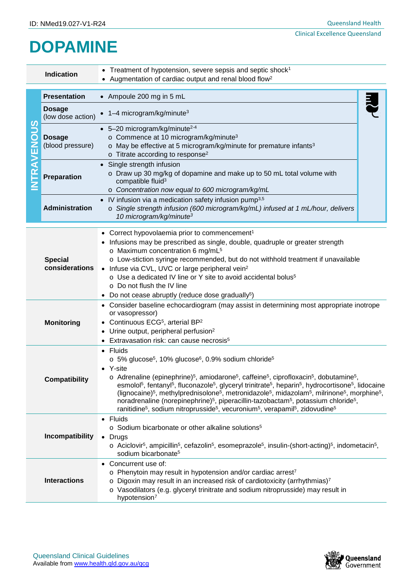## **DOPAMINE**

| <b>Indication</b>                                                       |                                                                                                                                                                                                                                                                                                                                | • Treatment of hypotension, severe sepsis and septic shock <sup>1</sup><br>• Augmentation of cardiac output and renal blood flow <sup>2</sup>                                                                                                                                                                                                                                                                                                                                                                                                                                                                                                                                                                                                                                                                                                                                                       |  |  |
|-------------------------------------------------------------------------|--------------------------------------------------------------------------------------------------------------------------------------------------------------------------------------------------------------------------------------------------------------------------------------------------------------------------------|-----------------------------------------------------------------------------------------------------------------------------------------------------------------------------------------------------------------------------------------------------------------------------------------------------------------------------------------------------------------------------------------------------------------------------------------------------------------------------------------------------------------------------------------------------------------------------------------------------------------------------------------------------------------------------------------------------------------------------------------------------------------------------------------------------------------------------------------------------------------------------------------------------|--|--|
| $\boldsymbol{\omega}$<br>Ö<br>O<br><b>TRAVEN</b>                        | <b>Presentation</b>                                                                                                                                                                                                                                                                                                            | • Ampoule 200 mg in 5 mL                                                                                                                                                                                                                                                                                                                                                                                                                                                                                                                                                                                                                                                                                                                                                                                                                                                                            |  |  |
|                                                                         | <b>Dosage</b><br>(low dose action)                                                                                                                                                                                                                                                                                             | $\bullet$ 1-4 microgram/kg/minute <sup>3</sup>                                                                                                                                                                                                                                                                                                                                                                                                                                                                                                                                                                                                                                                                                                                                                                                                                                                      |  |  |
|                                                                         | <b>Dosage</b><br>(blood pressure)                                                                                                                                                                                                                                                                                              | $\bullet$ 5-20 microgram/kg/minute <sup>2-4</sup><br>o Commence at 10 microgram/kg/minute <sup>3</sup><br>o May be effective at 5 microgram/kg/minute for premature infants <sup>3</sup><br>$\circ$ Titrate according to response <sup>2</sup>                                                                                                                                                                                                                                                                                                                                                                                                                                                                                                                                                                                                                                                      |  |  |
|                                                                         | <b>Preparation</b>                                                                                                                                                                                                                                                                                                             | • Single strength infusion<br>o Draw up 30 mg/kg of dopamine and make up to 50 mL total volume with<br>compatible fluid <sup>3</sup><br>o Concentration now equal to 600 microgram/kg/mL                                                                                                                                                                                                                                                                                                                                                                                                                                                                                                                                                                                                                                                                                                            |  |  |
|                                                                         | <b>Administration</b>                                                                                                                                                                                                                                                                                                          | IV infusion via a medication safety infusion pump <sup>3,5</sup><br>o Single strength infusion (600 microgram/kg/mL) infused at 1 mL/hour, delivers<br>10 microgram/kg/minute <sup>3</sup>                                                                                                                                                                                                                                                                                                                                                                                                                                                                                                                                                                                                                                                                                                          |  |  |
|                                                                         | <b>Special</b><br>considerations                                                                                                                                                                                                                                                                                               | • Correct hypovolaemia prior to commencement <sup>1</sup><br>• Infusions may be prescribed as single, double, quadruple or greater strength<br>o Maximum concentration 6 mg/mL <sup>5</sup><br>o Low-stiction syringe recommended, but do not withhold treatment if unavailable<br>• Infuse via CVL, UVC or large peripheral vein <sup>2</sup><br>o Use a dedicated IV line or Y site to avoid accidental bolus <sup>5</sup><br>○ Do not flush the IV line<br>• Do not cease abruptly (reduce dose gradually <sup>5</sup> )                                                                                                                                                                                                                                                                                                                                                                         |  |  |
|                                                                         | <b>Monitoring</b>                                                                                                                                                                                                                                                                                                              | • Consider baseline echocardiogram (may assist in determining most appropriate inotrope<br>or vasopressor)<br>• Continuous ECG <sup>5</sup> , arterial BP <sup>2</sup><br>• Urine output, peripheral perfusion <sup>2</sup><br>• Extravasation risk: can cause necrosis <sup>5</sup>                                                                                                                                                                                                                                                                                                                                                                                                                                                                                                                                                                                                                |  |  |
|                                                                         | <b>Compatibility</b>                                                                                                                                                                                                                                                                                                           | • Fluids<br>o 5% glucose <sup>5</sup> , 10% glucose <sup>6</sup> , 0.9% sodium chloride <sup>5</sup><br>• Y-site<br>o Adrenaline (epinephrine) <sup>5</sup> , amiodarone <sup>5</sup> , caffeine <sup>5</sup> , ciprofloxacin <sup>5</sup> , dobutamine <sup>5</sup> ,<br>esmolol <sup>5</sup> , fentanyl <sup>5</sup> , fluconazole <sup>5</sup> , glyceryl trinitrate <sup>5</sup> , heparin <sup>5</sup> , hydrocortisone <sup>5</sup> , lidocaine<br>(lignocaine) <sup>5</sup> , methylprednisolone <sup>5</sup> , metronidazole <sup>5</sup> , midazolam <sup>5</sup> , milrinone <sup>5</sup> , morphine <sup>5</sup> ,<br>noradrenaline (norepinephrine) <sup>5</sup> , piperacillin-tazobactam <sup>5</sup> , potassium chloride <sup>5</sup> ,<br>ranitidine <sup>5</sup> , sodium nitroprusside <sup>5</sup> , vecuronium <sup>5</sup> , verapamil <sup>5</sup> , zidovudine <sup>5</sup> |  |  |
|                                                                         | • Fluids<br>○ Sodium bicarbonate or other alkaline solutions <sup>5</sup><br>Incompatibility<br>• Drugs<br>$\circ$ Aciclovir <sup>5</sup> , ampicillin <sup>5</sup> , cefazolin <sup>5</sup> , esomeprazole <sup>5</sup> , insulin-(short-acting) <sup>5</sup> , indometacin <sup>5</sup> ,<br>sodium bicarbonate <sup>5</sup> |                                                                                                                                                                                                                                                                                                                                                                                                                                                                                                                                                                                                                                                                                                                                                                                                                                                                                                     |  |  |
| • Concurrent use of:<br><b>Interactions</b><br>hypotension <sup>7</sup> |                                                                                                                                                                                                                                                                                                                                | o Phenytoin may result in hypotension and/or cardiac arrest <sup>7</sup><br>Digoxin may result in an increased risk of cardiotoxicity (arrhythmias) <sup>7</sup><br>o Vasodilators (e.g. glyceryl trinitrate and sodium nitroprusside) may result in                                                                                                                                                                                                                                                                                                                                                                                                                                                                                                                                                                                                                                                |  |  |

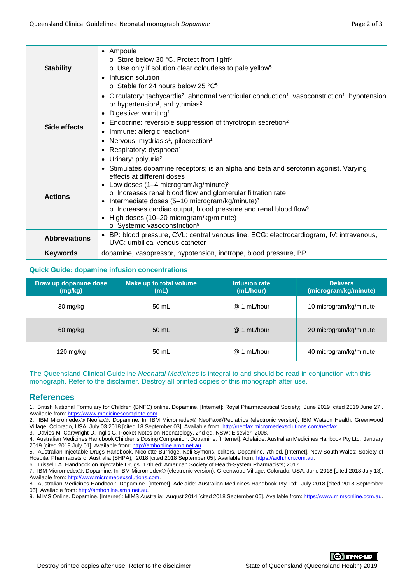| <b>Stability</b>     | • Ampoule<br>$\circ$ Store below 30 °C. Protect from light <sup>5</sup><br>o Use only if solution clear colourless to pale yellow <sup>5</sup><br>Infusion solution<br>$\bullet$<br>$\circ$ Stable for 24 hours below 25 °C <sup>5</sup>                                                                                                                                                                                                                                                                        |  |  |  |
|----------------------|-----------------------------------------------------------------------------------------------------------------------------------------------------------------------------------------------------------------------------------------------------------------------------------------------------------------------------------------------------------------------------------------------------------------------------------------------------------------------------------------------------------------|--|--|--|
| Side effects         | Circulatory: tachycardia <sup>2</sup> , abnormal ventricular conduction <sup>1</sup> , vasoconstriction <sup>1</sup> , hypotension<br>or hypertension <sup>1</sup> , arrhythmias <sup>2</sup><br>Digestive: vomiting <sup>1</sup><br>Endocrine: reversible suppression of thyrotropin secretion <sup>2</sup><br>٠<br>Immune: allergic reaction <sup>8</sup><br>$\bullet$<br>Nervous: mydriasis <sup>1</sup> , piloerection <sup>1</sup><br>Respiratory: dyspnoea <sup>1</sup><br>Urinary: polyuria <sup>2</sup> |  |  |  |
| <b>Actions</b>       | • Stimulates dopamine receptors; is an alpha and beta and serotonin agonist. Varying<br>effects at different doses<br>Low doses $(1-4$ microgram/kg/minute) <sup>3</sup><br>o Increases renal blood flow and glomerular filtration rate<br>Intermediate doses (5-10 microgram/kg/minute) <sup>3</sup><br>o Increases cardiac output, blood pressure and renal blood flow <sup>9</sup><br>High doses (10-20 microgram/kg/minute)<br>$\bullet$<br>o Systemic vasoconstriction <sup>9</sup>                        |  |  |  |
| <b>Abbreviations</b> | • BP: blood pressure, CVL: central venous line, ECG: electrocardiogram, IV: intravenous,<br>UVC: umbilical venous catheter                                                                                                                                                                                                                                                                                                                                                                                      |  |  |  |
| <b>Keywords</b>      | dopamine, vasopressor, hypotension, inotrope, blood pressure, BP                                                                                                                                                                                                                                                                                                                                                                                                                                                |  |  |  |
|                      |                                                                                                                                                                                                                                                                                                                                                                                                                                                                                                                 |  |  |  |

## **Quick Guide: dopamine infusion concentrations**

| Draw up dopamine dose<br>(mg/kg) | Make up to total volume<br>(mL) | <b>Infusion rate</b><br>(mL/hour) | <b>Delivers</b><br>(microgram/kg/minute) |
|----------------------------------|---------------------------------|-----------------------------------|------------------------------------------|
| 30 mg/kg                         | 50 mL                           | $^{\circledR}$<br>1 mL/hour       | 10 microgram/kg/minute                   |
| 60 mg/kg                         | 50 mL                           | $\omega$<br>1 mL/hour             | 20 microgram/kg/minute                   |
| 120 mg/kg                        | 50 mL                           | 1 mL/hour<br>$^{\textregistered}$ | 40 microgram/kg/minute                   |

The Queensland Clinical Guideline *Neonatal Medicines* is integral to and should be read in conjunction with this monograph. Refer to the disclaimer. Destroy all printed copies of this monograph after use.

## **References**

1. British National Formulary for Children (BNFC) online. Dopamine. [Internet]: Royal Pharmaceutical Society; June 2019 [cited 2019 June 27]. Available from[: https://www.medicinescomplete.com.](https://www.medicinescomplete.com/)

2. IBM Micromedex® Neofax®. Dopamine. In: IBM Micromedex® NeoFax®/Pediatrics (electronic version). IBM Watson Health, Greenwood Village, Colorado, USA. July 03 2018 [cited 18 September 03]. Available from: [http://neofax.micromedexsolutions.com/neofax.](http://neofax.micromedexsolutions.com/neofax)

3. Davies M, Cartwright D, Inglis G. Pocket Notes on Neonatology. 2nd ed. NSW: Elsevier; 2008.

4. Australian Medicines Handbook Children's Dosing Companion. Dopamine. [Internet]. Adelaide: Australian Medicines Hanbook Pty Ltd; January 2019 [cited 2019 July 01]. Available from: [http://amhonline.amh.net.au.](http://amhonline.amh.net.au/)

5. Australian Injectable Drugs Handbook. Nicolette Burridge, Keli Symons, editors. Dopamine. 7th ed. [Internet]. New South Wales: Society of Hospital Pharmacists of Australia (SHPA); 2018 [cited 2018 September 05]. Available from: https://aidh.

6. Trissel LA. Handbook on Injectable Drugs. 17th ed: American Society of Health-System Pharmacists; 2017.

7. IBM Micromedex®. Dopamine. In IBM Micromedex® (electronic version). Greenwood Village, Colorado, USA. June 2018 [cited 2018 July 13]. Available from[: http://www.micromedexsolutions.com.](http://www.micromedexsolutions.com/)

8. Australian Medicines Handbook. Dopamine. [Internet]. Adelaide: Australian Medicines Handbook Pty Ltd; July 2018 [cited 2018 September 05]. Available from[: http://amhonline.amh.net.au.](http://amhonline.amh.net.au/)

9. MIMS Online. Dopamine. [Internet]: MIMS Australia; August 2014 [cited 2018 September 05]. Available from[: https://www.mimsonline.com.au.](https://www.mimsonline.com.au/)